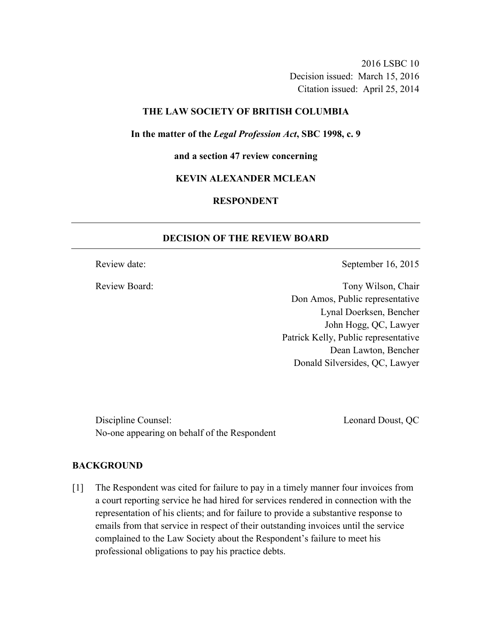2016 LSBC 10 Decision issued: March 15, 2016 Citation issued: April 25, 2014

## **THE LAW SOCIETY OF BRITISH COLUMBIA**

**In the matter of the** *Legal Profession Act***, SBC 1998, c. 9** 

**and a section 47 review concerning** 

#### **KEVIN ALEXANDER MCLEAN**

## **RESPONDENT**

## **DECISION OF THE REVIEW BOARD**

Review date: September 16, 2015

Review Board: Tony Wilson, Chair Don Amos, Public representative Lynal Doerksen, Bencher John Hogg, QC, Lawyer Patrick Kelly, Public representative Dean Lawton, Bencher Donald Silversides, QC, Lawyer

Discipline Counsel: Leonard Doust, QC No-one appearing on behalf of the Respondent

#### **BACKGROUND**

[1] The Respondent was cited for failure to pay in a timely manner four invoices from a court reporting service he had hired for services rendered in connection with the representation of his clients; and for failure to provide a substantive response to emails from that service in respect of their outstanding invoices until the service complained to the Law Society about the Respondent's failure to meet his professional obligations to pay his practice debts.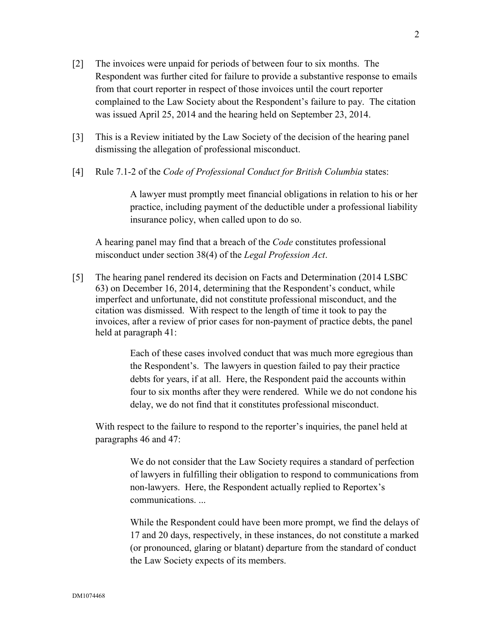- [2] The invoices were unpaid for periods of between four to six months. The Respondent was further cited for failure to provide a substantive response to emails from that court reporter in respect of those invoices until the court reporter complained to the Law Society about the Respondent's failure to pay. The citation was issued April 25, 2014 and the hearing held on September 23, 2014.
- [3] This is a Review initiated by the Law Society of the decision of the hearing panel dismissing the allegation of professional misconduct.
- [4] Rule 7.1-2 of the *Code of Professional Conduct for British Columbia* states:

A lawyer must promptly meet financial obligations in relation to his or her practice, including payment of the deductible under a professional liability insurance policy, when called upon to do so.

A hearing panel may find that a breach of the *Code* constitutes professional misconduct under section 38(4) of the *Legal Profession Act*.

[5] The hearing panel rendered its decision on Facts and Determination (2014 LSBC 63) on December 16, 2014, determining that the Respondent's conduct, while imperfect and unfortunate, did not constitute professional misconduct, and the citation was dismissed. With respect to the length of time it took to pay the invoices, after a review of prior cases for non-payment of practice debts, the panel held at paragraph 41:

> Each of these cases involved conduct that was much more egregious than the Respondent's. The lawyers in question failed to pay their practice debts for years, if at all. Here, the Respondent paid the accounts within four to six months after they were rendered. While we do not condone his delay, we do not find that it constitutes professional misconduct.

With respect to the failure to respond to the reporter's inquiries, the panel held at paragraphs 46 and 47:

> We do not consider that the Law Society requires a standard of perfection of lawyers in fulfilling their obligation to respond to communications from non-lawyers. Here, the Respondent actually replied to Reportex's communications. ...

> While the Respondent could have been more prompt, we find the delays of 17 and 20 days, respectively, in these instances, do not constitute a marked (or pronounced, glaring or blatant) departure from the standard of conduct the Law Society expects of its members.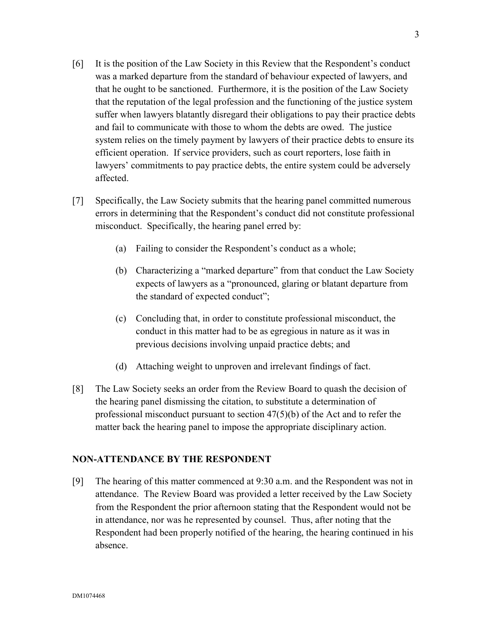- [6] It is the position of the Law Society in this Review that the Respondent's conduct was a marked departure from the standard of behaviour expected of lawyers, and that he ought to be sanctioned. Furthermore, it is the position of the Law Society that the reputation of the legal profession and the functioning of the justice system suffer when lawyers blatantly disregard their obligations to pay their practice debts and fail to communicate with those to whom the debts are owed. The justice system relies on the timely payment by lawyers of their practice debts to ensure its efficient operation. If service providers, such as court reporters, lose faith in lawyers' commitments to pay practice debts, the entire system could be adversely affected.
- [7] Specifically, the Law Society submits that the hearing panel committed numerous errors in determining that the Respondent's conduct did not constitute professional misconduct. Specifically, the hearing panel erred by:
	- (a) Failing to consider the Respondent's conduct as a whole;
	- (b) Characterizing a "marked departure" from that conduct the Law Society expects of lawyers as a "pronounced, glaring or blatant departure from the standard of expected conduct";
	- (c) Concluding that, in order to constitute professional misconduct, the conduct in this matter had to be as egregious in nature as it was in previous decisions involving unpaid practice debts; and
	- (d) Attaching weight to unproven and irrelevant findings of fact.
- [8] The Law Society seeks an order from the Review Board to quash the decision of the hearing panel dismissing the citation, to substitute a determination of professional misconduct pursuant to section 47(5)(b) of the Act and to refer the matter back the hearing panel to impose the appropriate disciplinary action.

## **NON-ATTENDANCE BY THE RESPONDENT**

[9] The hearing of this matter commenced at 9:30 a.m. and the Respondent was not in attendance. The Review Board was provided a letter received by the Law Society from the Respondent the prior afternoon stating that the Respondent would not be in attendance, nor was he represented by counsel. Thus, after noting that the Respondent had been properly notified of the hearing, the hearing continued in his absence.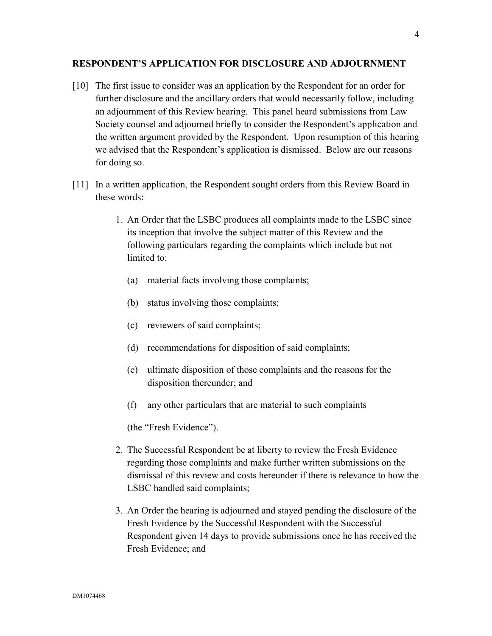#### **RESPONDENT'S APPLICATION FOR DISCLOSURE AND ADJOURNMENT**

- [10] The first issue to consider was an application by the Respondent for an order for further disclosure and the ancillary orders that would necessarily follow, including an adjournment of this Review hearing. This panel heard submissions from Law Society counsel and adjourned briefly to consider the Respondent's application and the written argument provided by the Respondent. Upon resumption of this hearing we advised that the Respondent's application is dismissed. Below are our reasons for doing so.
- [11] In a written application, the Respondent sought orders from this Review Board in these words:
	- 1. An Order that the LSBC produces all complaints made to the LSBC since its inception that involve the subject matter of this Review and the following particulars regarding the complaints which include but not limited to:
		- (a) material facts involving those complaints;
		- (b) status involving those complaints;
		- (c) reviewers of said complaints;
		- (d) recommendations for disposition of said complaints;
		- (e) ultimate disposition of those complaints and the reasons for the disposition thereunder; and
		- (f) any other particulars that are material to such complaints

(the "Fresh Evidence").

- 2. The Successful Respondent be at liberty to review the Fresh Evidence regarding those complaints and make further written submissions on the dismissal of this review and costs hereunder if there is relevance to how the LSBC handled said complaints;
- 3. An Order the hearing is adjourned and stayed pending the disclosure of the Fresh Evidence by the Successful Respondent with the Successful Respondent given 14 days to provide submissions once he has received the Fresh Evidence; and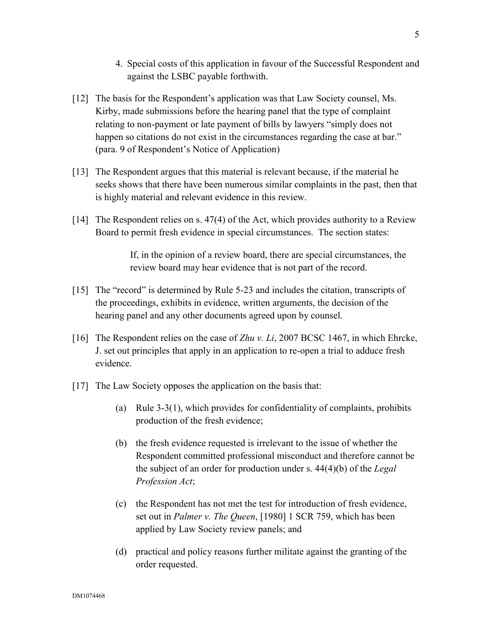- 4. Special costs of this application in favour of the Successful Respondent and against the LSBC payable forthwith.
- [12] The basis for the Respondent's application was that Law Society counsel, Ms. Kirby, made submissions before the hearing panel that the type of complaint relating to non-payment or late payment of bills by lawyers "simply does not happen so citations do not exist in the circumstances regarding the case at bar." (para. 9 of Respondent's Notice of Application)
- [13] The Respondent argues that this material is relevant because, if the material he seeks shows that there have been numerous similar complaints in the past, then that is highly material and relevant evidence in this review.
- [14] The Respondent relies on s. 47(4) of the Act, which provides authority to a Review Board to permit fresh evidence in special circumstances. The section states:

If, in the opinion of a review board, there are special circumstances, the review board may hear evidence that is not part of the record.

- [15] The "record" is determined by Rule 5-23 and includes the citation, transcripts of the proceedings, exhibits in evidence, written arguments, the decision of the hearing panel and any other documents agreed upon by counsel.
- [16] The Respondent relies on the case of *Zhu v. Li*, 2007 BCSC 1467, in which Ehrcke, J. set out principles that apply in an application to re-open a trial to adduce fresh evidence.
- [17] The Law Society opposes the application on the basis that:
	- (a) Rule 3-3(1), which provides for confidentiality of complaints, prohibits production of the fresh evidence;
	- (b) the fresh evidence requested is irrelevant to the issue of whether the Respondent committed professional misconduct and therefore cannot be the subject of an order for production under s. 44(4)(b) of the *Legal Profession Act*;
	- (c) the Respondent has not met the test for introduction of fresh evidence, set out in *Palmer v. The Queen*, [1980] 1 SCR 759, which has been applied by Law Society review panels; and
	- (d) practical and policy reasons further militate against the granting of the order requested.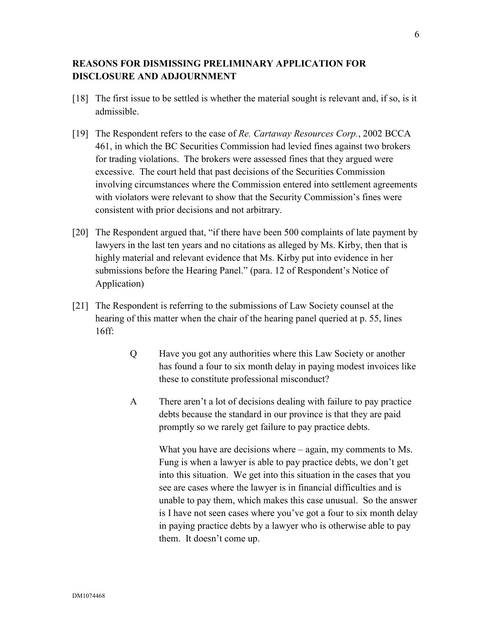# **REASONS FOR DISMISSING PRELIMINARY APPLICATION FOR DISCLOSURE AND ADJOURNMENT**

- [18] The first issue to be settled is whether the material sought is relevant and, if so, is it admissible.
- [19] The Respondent refers to the case of *Re. Cartaway Resources Corp.*, 2002 BCCA 461, in which the BC Securities Commission had levied fines against two brokers for trading violations. The brokers were assessed fines that they argued were excessive. The court held that past decisions of the Securities Commission involving circumstances where the Commission entered into settlement agreements with violators were relevant to show that the Security Commission's fines were consistent with prior decisions and not arbitrary.
- [20] The Respondent argued that, "if there have been 500 complaints of late payment by lawyers in the last ten years and no citations as alleged by Ms. Kirby, then that is highly material and relevant evidence that Ms. Kirby put into evidence in her submissions before the Hearing Panel." (para. 12 of Respondent's Notice of Application)
- [21] The Respondent is referring to the submissions of Law Society counsel at the hearing of this matter when the chair of the hearing panel queried at p. 55, lines 16ff:
	- Q Have you got any authorities where this Law Society or another has found a four to six month delay in paying modest invoices like these to constitute professional misconduct?
	- A There aren't a lot of decisions dealing with failure to pay practice debts because the standard in our province is that they are paid promptly so we rarely get failure to pay practice debts.

What you have are decisions where – again, my comments to Ms. Fung is when a lawyer is able to pay practice debts, we don't get into this situation. We get into this situation in the cases that you see are cases where the lawyer is in financial difficulties and is unable to pay them, which makes this case unusual. So the answer is I have not seen cases where you've got a four to six month delay in paying practice debts by a lawyer who is otherwise able to pay them. It doesn't come up.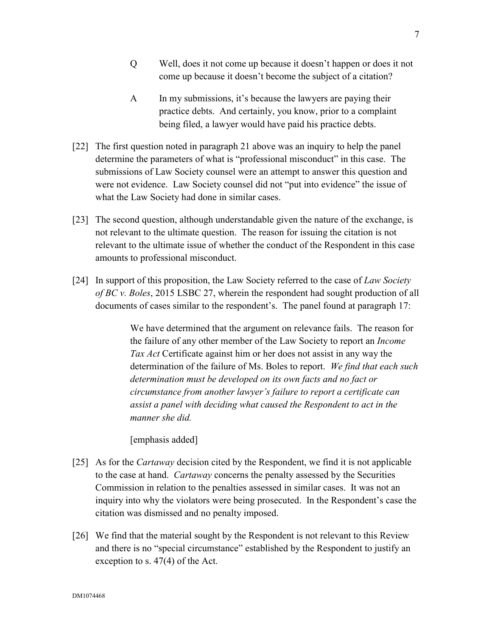- Q Well, does it not come up because it doesn't happen or does it not come up because it doesn't become the subject of a citation?
- A In my submissions, it's because the lawyers are paying their practice debts. And certainly, you know, prior to a complaint being filed, a lawyer would have paid his practice debts.
- [22] The first question noted in paragraph 21 above was an inquiry to help the panel determine the parameters of what is "professional misconduct" in this case. The submissions of Law Society counsel were an attempt to answer this question and were not evidence. Law Society counsel did not "put into evidence" the issue of what the Law Society had done in similar cases.
- [23] The second question, although understandable given the nature of the exchange, is not relevant to the ultimate question. The reason for issuing the citation is not relevant to the ultimate issue of whether the conduct of the Respondent in this case amounts to professional misconduct.
- [24] In support of this proposition, the Law Society referred to the case of *Law Society of BC v. Boles*, 2015 LSBC 27, wherein the respondent had sought production of all documents of cases similar to the respondent's. The panel found at paragraph 17:

We have determined that the argument on relevance fails. The reason for the failure of any other member of the Law Society to report an *Income Tax Act* Certificate against him or her does not assist in any way the determination of the failure of Ms. Boles to report. *We find that each such determination must be developed on its own facts and no fact or circumstance from another lawyer's failure to report a certificate can assist a panel with deciding what caused the Respondent to act in the manner she did.* 

[emphasis added]

- [25] As for the *Cartaway* decision cited by the Respondent, we find it is not applicable to the case at hand. *Cartaway* concerns the penalty assessed by the Securities Commission in relation to the penalties assessed in similar cases. It was not an inquiry into why the violators were being prosecuted. In the Respondent's case the citation was dismissed and no penalty imposed.
- [26] We find that the material sought by the Respondent is not relevant to this Review and there is no "special circumstance" established by the Respondent to justify an exception to s. 47(4) of the Act.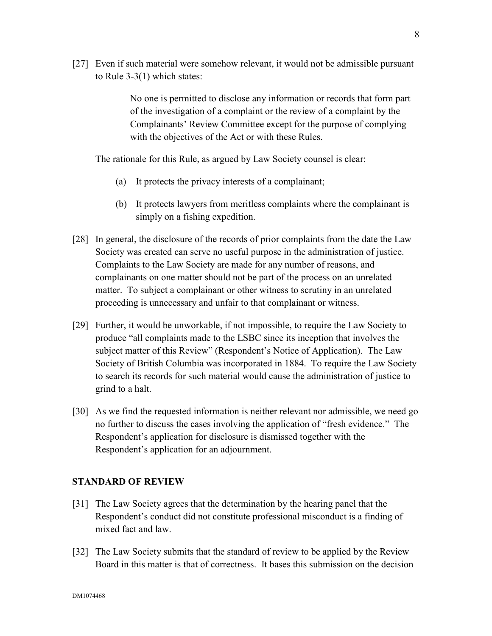[27] Even if such material were somehow relevant, it would not be admissible pursuant to Rule 3-3(1) which states:

> No one is permitted to disclose any information or records that form part of the investigation of a complaint or the review of a complaint by the Complainants' Review Committee except for the purpose of complying with the objectives of the Act or with these Rules.

The rationale for this Rule, as argued by Law Society counsel is clear:

- (a) It protects the privacy interests of a complainant;
- (b) It protects lawyers from meritless complaints where the complainant is simply on a fishing expedition.
- [28] In general, the disclosure of the records of prior complaints from the date the Law Society was created can serve no useful purpose in the administration of justice. Complaints to the Law Society are made for any number of reasons, and complainants on one matter should not be part of the process on an unrelated matter. To subject a complainant or other witness to scrutiny in an unrelated proceeding is unnecessary and unfair to that complainant or witness.
- [29] Further, it would be unworkable, if not impossible, to require the Law Society to produce "all complaints made to the LSBC since its inception that involves the subject matter of this Review" (Respondent's Notice of Application). The Law Society of British Columbia was incorporated in 1884. To require the Law Society to search its records for such material would cause the administration of justice to grind to a halt.
- [30] As we find the requested information is neither relevant nor admissible, we need go no further to discuss the cases involving the application of "fresh evidence." The Respondent's application for disclosure is dismissed together with the Respondent's application for an adjournment.

## **STANDARD OF REVIEW**

- [31] The Law Society agrees that the determination by the hearing panel that the Respondent's conduct did not constitute professional misconduct is a finding of mixed fact and law.
- [32] The Law Society submits that the standard of review to be applied by the Review Board in this matter is that of correctness. It bases this submission on the decision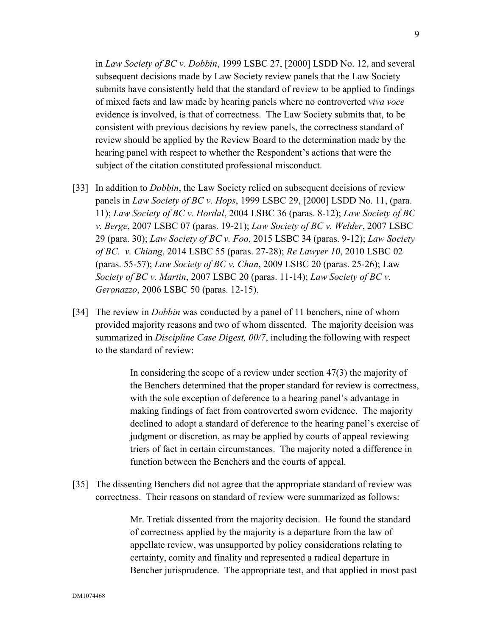in *Law Society of BC v. Dobbin*, 1999 LSBC 27, [2000] LSDD No. 12, and several subsequent decisions made by Law Society review panels that the Law Society submits have consistently held that the standard of review to be applied to findings of mixed facts and law made by hearing panels where no controverted *viva voce* evidence is involved, is that of correctness. The Law Society submits that, to be consistent with previous decisions by review panels, the correctness standard of review should be applied by the Review Board to the determination made by the hearing panel with respect to whether the Respondent's actions that were the subject of the citation constituted professional misconduct.

- [33] In addition to *Dobbin*, the Law Society relied on subsequent decisions of review panels in *Law Society of BC v. Hops*, 1999 LSBC 29, [2000] LSDD No. 11, (para. 11); *Law Society of BC v. Hordal*, 2004 LSBC 36 (paras. 8-12); *Law Society of BC v. Berge*, 2007 LSBC 07 (paras. 19-21); *Law Society of BC v. Welder*, 2007 LSBC 29 (para. 30); *Law Society of BC v. Foo*, 2015 LSBC 34 (paras. 9-12); *Law Society of BC. v. Chiang*, 2014 LSBC 55 (paras. 27-28); *Re Lawyer 10*, 2010 LSBC 02 (paras. 55-57); *Law Society of BC v. Chan*, 2009 LSBC 20 (paras. 25-26); Law *Society of BC v. Martin*, 2007 LSBC 20 (paras. 11-14); *Law Society of BC v. Geronazzo*, 2006 LSBC 50 (paras. 12-15).
- [34] The review in *Dobbin* was conducted by a panel of 11 benchers, nine of whom provided majority reasons and two of whom dissented. The majority decision was summarized in *Discipline Case Digest, 00/7*, including the following with respect to the standard of review:

In considering the scope of a review under section  $47(3)$  the majority of the Benchers determined that the proper standard for review is correctness, with the sole exception of deference to a hearing panel's advantage in making findings of fact from controverted sworn evidence. The majority declined to adopt a standard of deference to the hearing panel's exercise of judgment or discretion, as may be applied by courts of appeal reviewing triers of fact in certain circumstances. The majority noted a difference in function between the Benchers and the courts of appeal.

[35] The dissenting Benchers did not agree that the appropriate standard of review was correctness. Their reasons on standard of review were summarized as follows:

> Mr. Tretiak dissented from the majority decision. He found the standard of correctness applied by the majority is a departure from the law of appellate review, was unsupported by policy considerations relating to certainty, comity and finality and represented a radical departure in Bencher jurisprudence. The appropriate test, and that applied in most past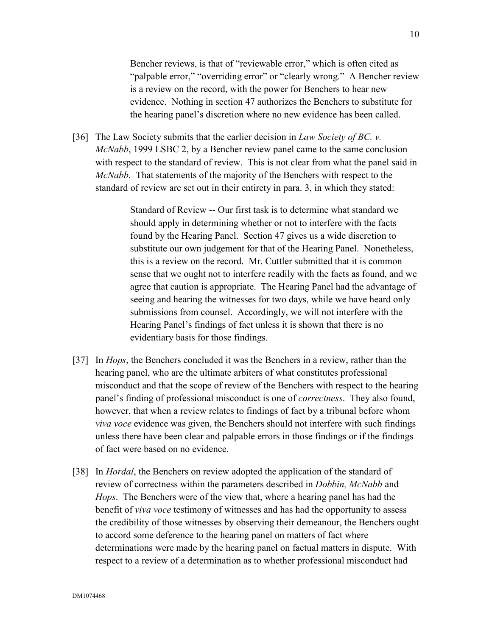Bencher reviews, is that of "reviewable error," which is often cited as "palpable error," "overriding error" or "clearly wrong." A Bencher review is a review on the record, with the power for Benchers to hear new evidence. Nothing in section 47 authorizes the Benchers to substitute for the hearing panel's discretion where no new evidence has been called.

[36] The Law Society submits that the earlier decision in *Law Society of BC. v. McNabb*, 1999 LSBC 2, by a Bencher review panel came to the same conclusion with respect to the standard of review. This is not clear from what the panel said in *McNabb*. That statements of the majority of the Benchers with respect to the standard of review are set out in their entirety in para. 3, in which they stated:

> Standard of Review -- Our first task is to determine what standard we should apply in determining whether or not to interfere with the facts found by the Hearing Panel. Section 47 gives us a wide discretion to substitute our own judgement for that of the Hearing Panel. Nonetheless, this is a review on the record. Mr. Cuttler submitted that it is common sense that we ought not to interfere readily with the facts as found, and we agree that caution is appropriate. The Hearing Panel had the advantage of seeing and hearing the witnesses for two days, while we have heard only submissions from counsel. Accordingly, we will not interfere with the Hearing Panel's findings of fact unless it is shown that there is no evidentiary basis for those findings.

- [37] In *Hops*, the Benchers concluded it was the Benchers in a review, rather than the hearing panel, who are the ultimate arbiters of what constitutes professional misconduct and that the scope of review of the Benchers with respect to the hearing panel's finding of professional misconduct is one of *correctness*. They also found, however, that when a review relates to findings of fact by a tribunal before whom *viva voce* evidence was given, the Benchers should not interfere with such findings unless there have been clear and palpable errors in those findings or if the findings of fact were based on no evidence.
- [38] In *Hordal*, the Benchers on review adopted the application of the standard of review of correctness within the parameters described in *Dobbin, McNabb* and *Hops*. The Benchers were of the view that, where a hearing panel has had the benefit of *viva voce* testimony of witnesses and has had the opportunity to assess the credibility of those witnesses by observing their demeanour, the Benchers ought to accord some deference to the hearing panel on matters of fact where determinations were made by the hearing panel on factual matters in dispute. With respect to a review of a determination as to whether professional misconduct had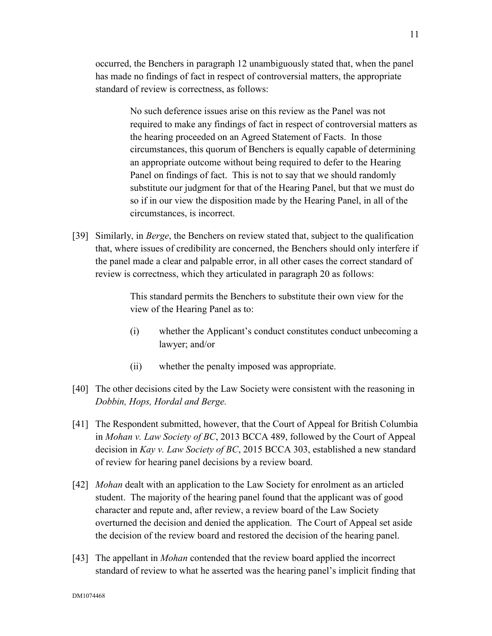occurred, the Benchers in paragraph 12 unambiguously stated that, when the panel has made no findings of fact in respect of controversial matters, the appropriate standard of review is correctness, as follows:

> No such deference issues arise on this review as the Panel was not required to make any findings of fact in respect of controversial matters as the hearing proceeded on an Agreed Statement of Facts. In those circumstances, this quorum of Benchers is equally capable of determining an appropriate outcome without being required to defer to the Hearing Panel on findings of fact. This is not to say that we should randomly substitute our judgment for that of the Hearing Panel, but that we must do so if in our view the disposition made by the Hearing Panel, in all of the circumstances, is incorrect.

[39] Similarly, in *Berge*, the Benchers on review stated that, subject to the qualification that, where issues of credibility are concerned, the Benchers should only interfere if the panel made a clear and palpable error, in all other cases the correct standard of review is correctness, which they articulated in paragraph 20 as follows:

> This standard permits the Benchers to substitute their own view for the view of the Hearing Panel as to:

- (i) whether the Applicant's conduct constitutes conduct unbecoming a lawyer; and/or
- (ii) whether the penalty imposed was appropriate.
- [40] The other decisions cited by the Law Society were consistent with the reasoning in *Dobbin, Hops, Hordal and Berge.*
- [41] The Respondent submitted, however, that the Court of Appeal for British Columbia in *Mohan v. Law Society of BC*, 2013 BCCA 489, followed by the Court of Appeal decision in *Kay v. Law Society of BC*, 2015 BCCA 303, established a new standard of review for hearing panel decisions by a review board.
- [42] *Mohan* dealt with an application to the Law Society for enrolment as an articled student. The majority of the hearing panel found that the applicant was of good character and repute and, after review, a review board of the Law Society overturned the decision and denied the application. The Court of Appeal set aside the decision of the review board and restored the decision of the hearing panel.
- [43] The appellant in *Mohan* contended that the review board applied the incorrect standard of review to what he asserted was the hearing panel's implicit finding that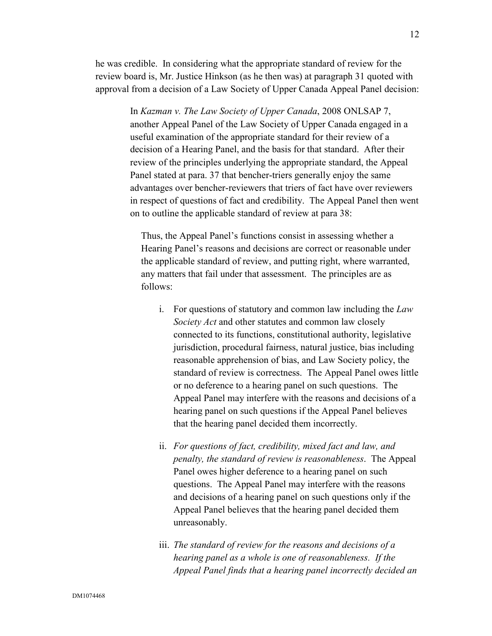he was credible. In considering what the appropriate standard of review for the review board is, Mr. Justice Hinkson (as he then was) at paragraph 31 quoted with approval from a decision of a Law Society of Upper Canada Appeal Panel decision:

> In *Kazman v. The Law Society of Upper Canada*, 2008 ONLSAP 7, another Appeal Panel of the Law Society of Upper Canada engaged in a useful examination of the appropriate standard for their review of a decision of a Hearing Panel, and the basis for that standard. After their review of the principles underlying the appropriate standard, the Appeal Panel stated at para. 37 that bencher-triers generally enjoy the same advantages over bencher-reviewers that triers of fact have over reviewers in respect of questions of fact and credibility. The Appeal Panel then went on to outline the applicable standard of review at para 38:

Thus, the Appeal Panel's functions consist in assessing whether a Hearing Panel's reasons and decisions are correct or reasonable under the applicable standard of review, and putting right, where warranted, any matters that fail under that assessment. The principles are as follows:

- i. For questions of statutory and common law including the *Law Society Act* and other statutes and common law closely connected to its functions, constitutional authority, legislative jurisdiction, procedural fairness, natural justice, bias including reasonable apprehension of bias, and Law Society policy, the standard of review is correctness. The Appeal Panel owes little or no deference to a hearing panel on such questions. The Appeal Panel may interfere with the reasons and decisions of a hearing panel on such questions if the Appeal Panel believes that the hearing panel decided them incorrectly.
- ii. *For questions of fact, credibility, mixed fact and law, and penalty, the standard of review is reasonableness*. The Appeal Panel owes higher deference to a hearing panel on such questions. The Appeal Panel may interfere with the reasons and decisions of a hearing panel on such questions only if the Appeal Panel believes that the hearing panel decided them unreasonably.
- iii. *The standard of review for the reasons and decisions of a hearing panel as a whole is one of reasonableness. If the Appeal Panel finds that a hearing panel incorrectly decided an*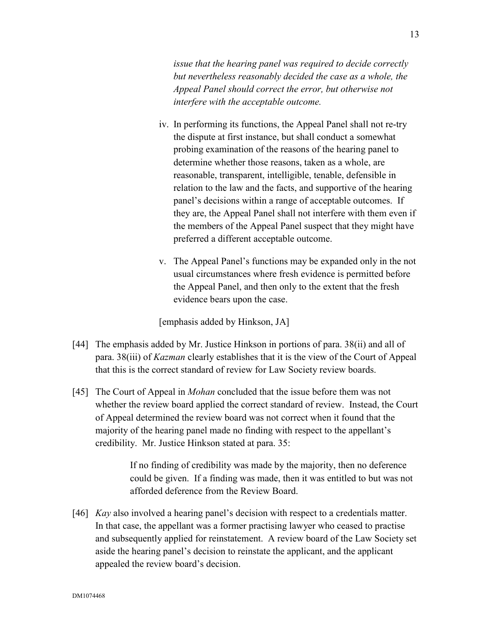*issue that the hearing panel was required to decide correctly but nevertheless reasonably decided the case as a whole, the Appeal Panel should correct the error, but otherwise not interfere with the acceptable outcome.*

- iv. In performing its functions, the Appeal Panel shall not re-try the dispute at first instance, but shall conduct a somewhat probing examination of the reasons of the hearing panel to determine whether those reasons, taken as a whole, are reasonable, transparent, intelligible, tenable, defensible in relation to the law and the facts, and supportive of the hearing panel's decisions within a range of acceptable outcomes. If they are, the Appeal Panel shall not interfere with them even if the members of the Appeal Panel suspect that they might have preferred a different acceptable outcome.
- v. The Appeal Panel's functions may be expanded only in the not usual circumstances where fresh evidence is permitted before the Appeal Panel, and then only to the extent that the fresh evidence bears upon the case.

[emphasis added by Hinkson, JA]

- [44] The emphasis added by Mr. Justice Hinkson in portions of para. 38(ii) and all of para. 38(iii) of *Kazman* clearly establishes that it is the view of the Court of Appeal that this is the correct standard of review for Law Society review boards.
- [45] The Court of Appeal in *Mohan* concluded that the issue before them was not whether the review board applied the correct standard of review. Instead, the Court of Appeal determined the review board was not correct when it found that the majority of the hearing panel made no finding with respect to the appellant's credibility. Mr. Justice Hinkson stated at para. 35:

If no finding of credibility was made by the majority, then no deference could be given. If a finding was made, then it was entitled to but was not afforded deference from the Review Board.

[46] *Kay* also involved a hearing panel's decision with respect to a credentials matter. In that case, the appellant was a former practising lawyer who ceased to practise and subsequently applied for reinstatement. A review board of the Law Society set aside the hearing panel's decision to reinstate the applicant, and the applicant appealed the review board's decision.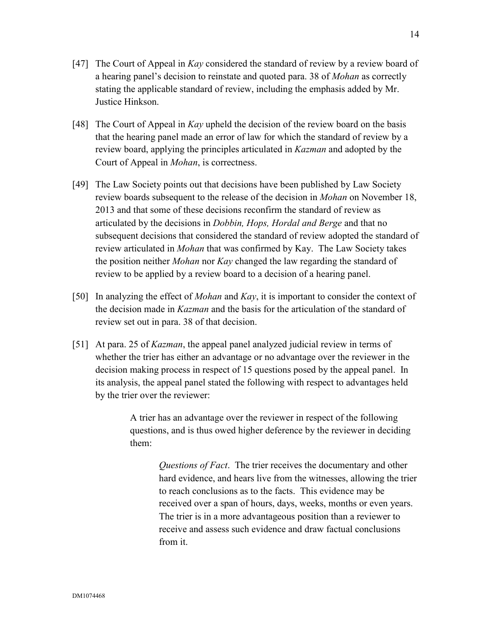- [47] The Court of Appeal in *Kay* considered the standard of review by a review board of a hearing panel's decision to reinstate and quoted para. 38 of *Mohan* as correctly stating the applicable standard of review, including the emphasis added by Mr. Justice Hinkson.
- [48] The Court of Appeal in *Kay* upheld the decision of the review board on the basis that the hearing panel made an error of law for which the standard of review by a review board, applying the principles articulated in *Kazman* and adopted by the Court of Appeal in *Mohan*, is correctness.
- [49] The Law Society points out that decisions have been published by Law Society review boards subsequent to the release of the decision in *Mohan* on November 18, 2013 and that some of these decisions reconfirm the standard of review as articulated by the decisions in *Dobbin, Hops, Hordal and Berge* and that no subsequent decisions that considered the standard of review adopted the standard of review articulated in *Mohan* that was confirmed by Kay. The Law Society takes the position neither *Mohan* nor *Kay* changed the law regarding the standard of review to be applied by a review board to a decision of a hearing panel.
- [50] In analyzing the effect of *Mohan* and *Kay*, it is important to consider the context of the decision made in *Kazman* and the basis for the articulation of the standard of review set out in para. 38 of that decision.
- [51] At para. 25 of *Kazman*, the appeal panel analyzed judicial review in terms of whether the trier has either an advantage or no advantage over the reviewer in the decision making process in respect of 15 questions posed by the appeal panel. In its analysis, the appeal panel stated the following with respect to advantages held by the trier over the reviewer:

A trier has an advantage over the reviewer in respect of the following questions, and is thus owed higher deference by the reviewer in deciding them:

> *Questions of Fact*. The trier receives the documentary and other hard evidence, and hears live from the witnesses, allowing the trier to reach conclusions as to the facts. This evidence may be received over a span of hours, days, weeks, months or even years. The trier is in a more advantageous position than a reviewer to receive and assess such evidence and draw factual conclusions from it.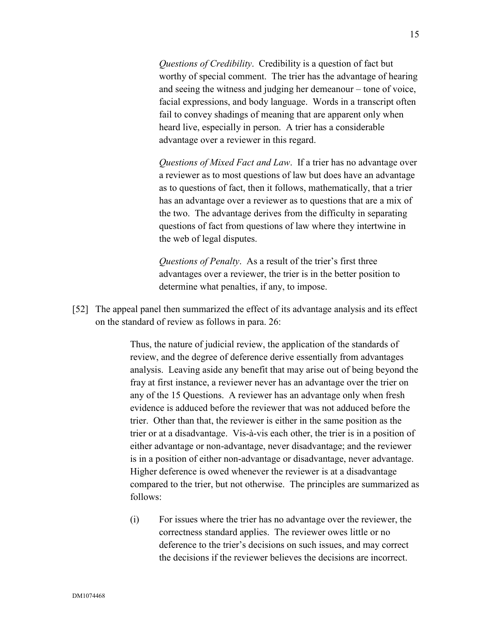*Questions of Credibility*. Credibility is a question of fact but worthy of special comment. The trier has the advantage of hearing and seeing the witness and judging her demeanour – tone of voice, facial expressions, and body language. Words in a transcript often fail to convey shadings of meaning that are apparent only when heard live, especially in person. A trier has a considerable advantage over a reviewer in this regard.

*Questions of Mixed Fact and Law*. If a trier has no advantage over a reviewer as to most questions of law but does have an advantage as to questions of fact, then it follows, mathematically, that a trier has an advantage over a reviewer as to questions that are a mix of the two. The advantage derives from the difficulty in separating questions of fact from questions of law where they intertwine in the web of legal disputes.

*Questions of Penalty*. As a result of the trier's first three advantages over a reviewer, the trier is in the better position to determine what penalties, if any, to impose.

[52] The appeal panel then summarized the effect of its advantage analysis and its effect on the standard of review as follows in para. 26:

> Thus, the nature of judicial review, the application of the standards of review, and the degree of deference derive essentially from advantages analysis. Leaving aside any benefit that may arise out of being beyond the fray at first instance, a reviewer never has an advantage over the trier on any of the 15 Questions. A reviewer has an advantage only when fresh evidence is adduced before the reviewer that was not adduced before the trier. Other than that, the reviewer is either in the same position as the trier or at a disadvantage. Vis-à-vis each other, the trier is in a position of either advantage or non-advantage, never disadvantage; and the reviewer is in a position of either non-advantage or disadvantage, never advantage. Higher deference is owed whenever the reviewer is at a disadvantage compared to the trier, but not otherwise. The principles are summarized as follows:

(i) For issues where the trier has no advantage over the reviewer, the correctness standard applies. The reviewer owes little or no deference to the trier's decisions on such issues, and may correct the decisions if the reviewer believes the decisions are incorrect.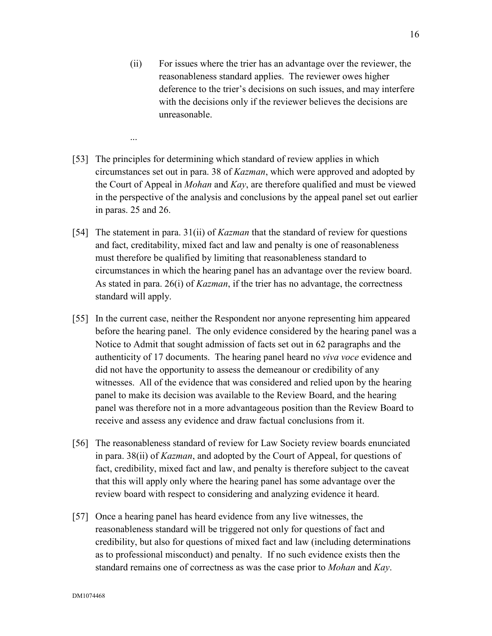- (ii) For issues where the trier has an advantage over the reviewer, the reasonableness standard applies. The reviewer owes higher deference to the trier's decisions on such issues, and may interfere with the decisions only if the reviewer believes the decisions are unreasonable.
- [53] The principles for determining which standard of review applies in which circumstances set out in para. 38 of *Kazman*, which were approved and adopted by the Court of Appeal in *Mohan* and *Kay*, are therefore qualified and must be viewed in the perspective of the analysis and conclusions by the appeal panel set out earlier in paras. 25 and 26.

...

- [54] The statement in para. 31(ii) of *Kazman* that the standard of review for questions and fact, creditability, mixed fact and law and penalty is one of reasonableness must therefore be qualified by limiting that reasonableness standard to circumstances in which the hearing panel has an advantage over the review board. As stated in para. 26(i) of *Kazman*, if the trier has no advantage, the correctness standard will apply.
- [55] In the current case, neither the Respondent nor anyone representing him appeared before the hearing panel. The only evidence considered by the hearing panel was a Notice to Admit that sought admission of facts set out in 62 paragraphs and the authenticity of 17 documents. The hearing panel heard no *viva voce* evidence and did not have the opportunity to assess the demeanour or credibility of any witnesses. All of the evidence that was considered and relied upon by the hearing panel to make its decision was available to the Review Board, and the hearing panel was therefore not in a more advantageous position than the Review Board to receive and assess any evidence and draw factual conclusions from it.
- [56] The reasonableness standard of review for Law Society review boards enunciated in para. 38(ii) of *Kazman*, and adopted by the Court of Appeal, for questions of fact, credibility, mixed fact and law, and penalty is therefore subject to the caveat that this will apply only where the hearing panel has some advantage over the review board with respect to considering and analyzing evidence it heard.
- [57] Once a hearing panel has heard evidence from any live witnesses, the reasonableness standard will be triggered not only for questions of fact and credibility, but also for questions of mixed fact and law (including determinations as to professional misconduct) and penalty. If no such evidence exists then the standard remains one of correctness as was the case prior to *Mohan* and *Kay*.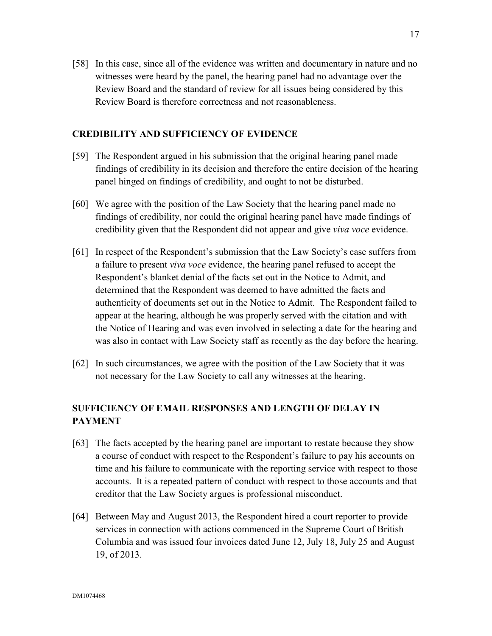[58] In this case, since all of the evidence was written and documentary in nature and no witnesses were heard by the panel, the hearing panel had no advantage over the Review Board and the standard of review for all issues being considered by this Review Board is therefore correctness and not reasonableness.

### **CREDIBILITY AND SUFFICIENCY OF EVIDENCE**

- [59] The Respondent argued in his submission that the original hearing panel made findings of credibility in its decision and therefore the entire decision of the hearing panel hinged on findings of credibility, and ought to not be disturbed.
- [60] We agree with the position of the Law Society that the hearing panel made no findings of credibility, nor could the original hearing panel have made findings of credibility given that the Respondent did not appear and give *viva voce* evidence.
- [61] In respect of the Respondent's submission that the Law Society's case suffers from a failure to present *viva voce* evidence, the hearing panel refused to accept the Respondent's blanket denial of the facts set out in the Notice to Admit, and determined that the Respondent was deemed to have admitted the facts and authenticity of documents set out in the Notice to Admit. The Respondent failed to appear at the hearing, although he was properly served with the citation and with the Notice of Hearing and was even involved in selecting a date for the hearing and was also in contact with Law Society staff as recently as the day before the hearing.
- [62] In such circumstances, we agree with the position of the Law Society that it was not necessary for the Law Society to call any witnesses at the hearing.

# **SUFFICIENCY OF EMAIL RESPONSES AND LENGTH OF DELAY IN PAYMENT**

- [63] The facts accepted by the hearing panel are important to restate because they show a course of conduct with respect to the Respondent's failure to pay his accounts on time and his failure to communicate with the reporting service with respect to those accounts. It is a repeated pattern of conduct with respect to those accounts and that creditor that the Law Society argues is professional misconduct.
- [64] Between May and August 2013, the Respondent hired a court reporter to provide services in connection with actions commenced in the Supreme Court of British Columbia and was issued four invoices dated June 12, July 18, July 25 and August 19, of 2013.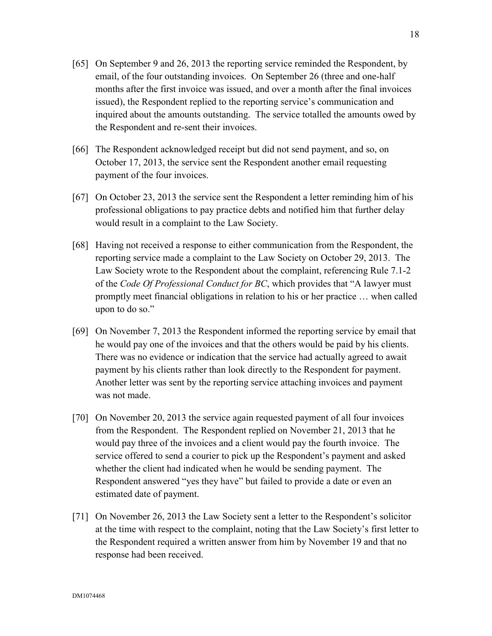- [65] On September 9 and 26, 2013 the reporting service reminded the Respondent, by email, of the four outstanding invoices. On September 26 (three and one-half months after the first invoice was issued, and over a month after the final invoices issued), the Respondent replied to the reporting service's communication and inquired about the amounts outstanding. The service totalled the amounts owed by the Respondent and re-sent their invoices.
- [66] The Respondent acknowledged receipt but did not send payment, and so, on October 17, 2013, the service sent the Respondent another email requesting payment of the four invoices.
- [67] On October 23, 2013 the service sent the Respondent a letter reminding him of his professional obligations to pay practice debts and notified him that further delay would result in a complaint to the Law Society.
- [68] Having not received a response to either communication from the Respondent, the reporting service made a complaint to the Law Society on October 29, 2013. The Law Society wrote to the Respondent about the complaint, referencing Rule 7.1-2 of the *Code Of Professional Conduct for BC*, which provides that "A lawyer must promptly meet financial obligations in relation to his or her practice … when called upon to do so."
- [69] On November 7, 2013 the Respondent informed the reporting service by email that he would pay one of the invoices and that the others would be paid by his clients. There was no evidence or indication that the service had actually agreed to await payment by his clients rather than look directly to the Respondent for payment. Another letter was sent by the reporting service attaching invoices and payment was not made.
- [70] On November 20, 2013 the service again requested payment of all four invoices from the Respondent. The Respondent replied on November 21, 2013 that he would pay three of the invoices and a client would pay the fourth invoice. The service offered to send a courier to pick up the Respondent's payment and asked whether the client had indicated when he would be sending payment. The Respondent answered "yes they have" but failed to provide a date or even an estimated date of payment.
- [71] On November 26, 2013 the Law Society sent a letter to the Respondent's solicitor at the time with respect to the complaint, noting that the Law Society's first letter to the Respondent required a written answer from him by November 19 and that no response had been received.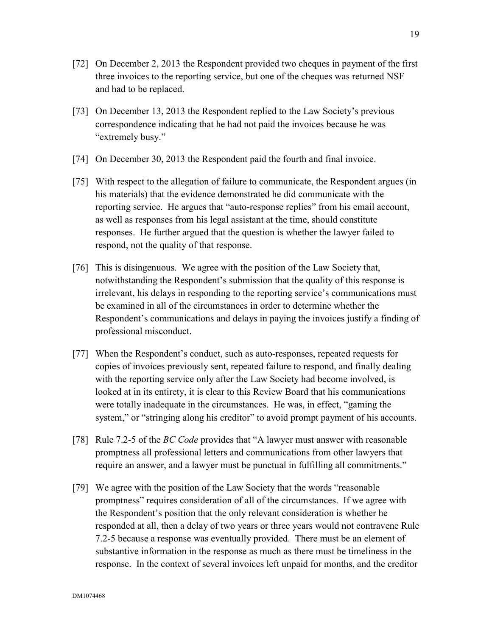- [72] On December 2, 2013 the Respondent provided two cheques in payment of the first three invoices to the reporting service, but one of the cheques was returned NSF and had to be replaced.
- [73] On December 13, 2013 the Respondent replied to the Law Society's previous correspondence indicating that he had not paid the invoices because he was "extremely busy."
- [74] On December 30, 2013 the Respondent paid the fourth and final invoice.
- [75] With respect to the allegation of failure to communicate, the Respondent argues (in his materials) that the evidence demonstrated he did communicate with the reporting service. He argues that "auto-response replies" from his email account, as well as responses from his legal assistant at the time, should constitute responses. He further argued that the question is whether the lawyer failed to respond, not the quality of that response.
- [76] This is disingenuous. We agree with the position of the Law Society that, notwithstanding the Respondent's submission that the quality of this response is irrelevant, his delays in responding to the reporting service's communications must be examined in all of the circumstances in order to determine whether the Respondent's communications and delays in paying the invoices justify a finding of professional misconduct.
- [77] When the Respondent's conduct, such as auto-responses, repeated requests for copies of invoices previously sent, repeated failure to respond, and finally dealing with the reporting service only after the Law Society had become involved, is looked at in its entirety, it is clear to this Review Board that his communications were totally inadequate in the circumstances. He was, in effect, "gaming the system," or "stringing along his creditor" to avoid prompt payment of his accounts.
- [78] Rule 7.2-5 of the *BC Code* provides that "A lawyer must answer with reasonable promptness all professional letters and communications from other lawyers that require an answer, and a lawyer must be punctual in fulfilling all commitments."
- [79] We agree with the position of the Law Society that the words "reasonable promptness" requires consideration of all of the circumstances. If we agree with the Respondent's position that the only relevant consideration is whether he responded at all, then a delay of two years or three years would not contravene Rule 7.2-5 because a response was eventually provided. There must be an element of substantive information in the response as much as there must be timeliness in the response. In the context of several invoices left unpaid for months, and the creditor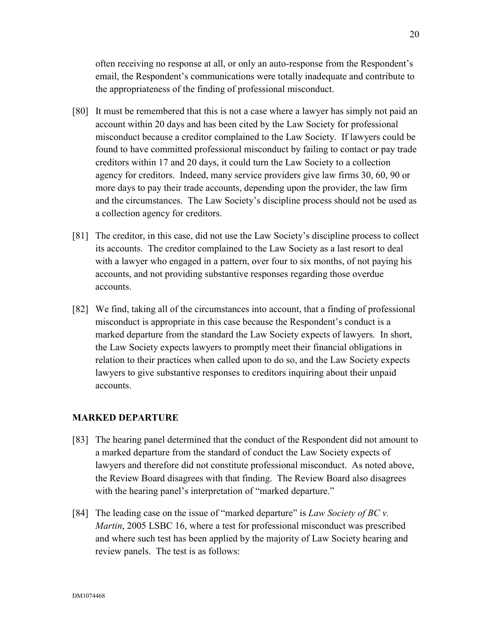often receiving no response at all, or only an auto-response from the Respondent's email, the Respondent's communications were totally inadequate and contribute to the appropriateness of the finding of professional misconduct.

- [80] It must be remembered that this is not a case where a lawyer has simply not paid an account within 20 days and has been cited by the Law Society for professional misconduct because a creditor complained to the Law Society. If lawyers could be found to have committed professional misconduct by failing to contact or pay trade creditors within 17 and 20 days, it could turn the Law Society to a collection agency for creditors. Indeed, many service providers give law firms 30, 60, 90 or more days to pay their trade accounts, depending upon the provider, the law firm and the circumstances. The Law Society's discipline process should not be used as a collection agency for creditors.
- [81] The creditor, in this case, did not use the Law Society's discipline process to collect its accounts. The creditor complained to the Law Society as a last resort to deal with a lawyer who engaged in a pattern, over four to six months, of not paying his accounts, and not providing substantive responses regarding those overdue accounts.
- [82] We find, taking all of the circumstances into account, that a finding of professional misconduct is appropriate in this case because the Respondent's conduct is a marked departure from the standard the Law Society expects of lawyers. In short, the Law Society expects lawyers to promptly meet their financial obligations in relation to their practices when called upon to do so, and the Law Society expects lawyers to give substantive responses to creditors inquiring about their unpaid accounts.

### **MARKED DEPARTURE**

- [83] The hearing panel determined that the conduct of the Respondent did not amount to a marked departure from the standard of conduct the Law Society expects of lawyers and therefore did not constitute professional misconduct. As noted above, the Review Board disagrees with that finding. The Review Board also disagrees with the hearing panel's interpretation of "marked departure."
- [84] The leading case on the issue of "marked departure" is *Law Society of BC v. Martin*, 2005 LSBC 16, where a test for professional misconduct was prescribed and where such test has been applied by the majority of Law Society hearing and review panels. The test is as follows: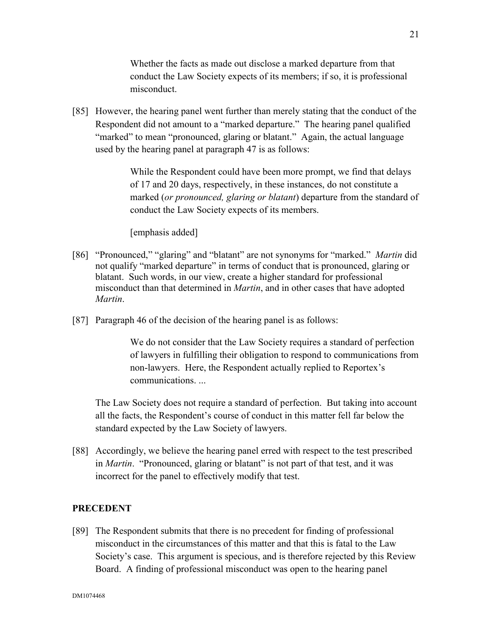Whether the facts as made out disclose a marked departure from that conduct the Law Society expects of its members; if so, it is professional misconduct.

[85] However, the hearing panel went further than merely stating that the conduct of the Respondent did not amount to a "marked departure." The hearing panel qualified "marked" to mean "pronounced, glaring or blatant." Again, the actual language used by the hearing panel at paragraph 47 is as follows:

> While the Respondent could have been more prompt, we find that delays of 17 and 20 days, respectively, in these instances, do not constitute a marked (*or pronounced, glaring or blatant*) departure from the standard of conduct the Law Society expects of its members.

[emphasis added]

- [86] "Pronounced," "glaring" and "blatant" are not synonyms for "marked." *Martin* did not qualify "marked departure" in terms of conduct that is pronounced, glaring or blatant. Such words, in our view, create a higher standard for professional misconduct than that determined in *Martin*, and in other cases that have adopted *Martin*.
- [87] Paragraph 46 of the decision of the hearing panel is as follows:

We do not consider that the Law Society requires a standard of perfection of lawyers in fulfilling their obligation to respond to communications from non-lawyers. Here, the Respondent actually replied to Reportex's communications. ...

The Law Society does not require a standard of perfection. But taking into account all the facts, the Respondent's course of conduct in this matter fell far below the standard expected by the Law Society of lawyers.

[88] Accordingly, we believe the hearing panel erred with respect to the test prescribed in *Martin*. "Pronounced, glaring or blatant" is not part of that test, and it was incorrect for the panel to effectively modify that test.

## **PRECEDENT**

[89] The Respondent submits that there is no precedent for finding of professional misconduct in the circumstances of this matter and that this is fatal to the Law Society's case. This argument is specious, and is therefore rejected by this Review Board. A finding of professional misconduct was open to the hearing panel